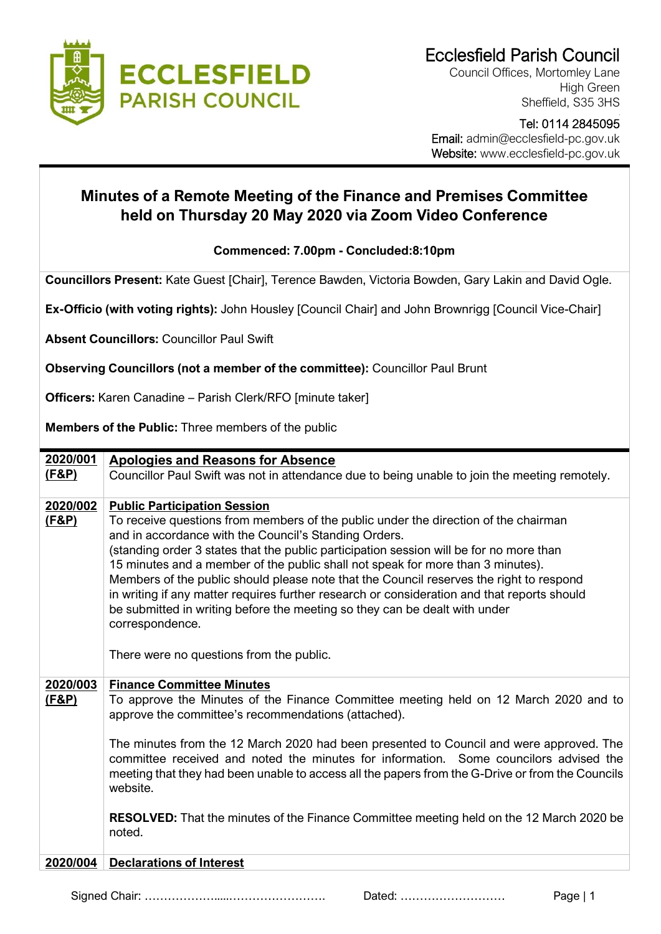

Council Offices, Mortomley Lane High Green Sheffield, S35 3HS

> - Tel: 0114 2845095

 Email: admin@ecclesfield-pc.gov.uk Website: www.ecclesfield-pc.gov.uk

## **Minutes of a Remote Meeting of the Finance and Premises Committee held on Thursday 20 May 2020 via Zoom Video Conference**

## **Commenced: 7.00pm - Concluded:8:10pm**

**Councillors Present:** Kate Guest [Chair], Terence Bawden, Victoria Bowden, Gary Lakin and David Ogle.

**Ex-Officio (with voting rights):** John Housley [Council Chair] and John Brownrigg [Council Vice-Chair]

**Absent Councillors:** Councillor Paul Swift

**Observing Councillors (not a member of the committee):** Councillor Paul Brunt

**Officers:** Karen Canadine – Parish Clerk/RFO [minute taker]

**Members of the Public:** Three members of the public

| 2020/001         | <b>Apologies and Reasons for Absence</b>                                                                                                                                                                                                                                                                                                                                                                                                                                                                                                                                                                              |
|------------------|-----------------------------------------------------------------------------------------------------------------------------------------------------------------------------------------------------------------------------------------------------------------------------------------------------------------------------------------------------------------------------------------------------------------------------------------------------------------------------------------------------------------------------------------------------------------------------------------------------------------------|
| <u>(F&amp;P)</u> | Councillor Paul Swift was not in attendance due to being unable to join the meeting remotely.                                                                                                                                                                                                                                                                                                                                                                                                                                                                                                                         |
| 2020/002         | <b>Public Participation Session</b>                                                                                                                                                                                                                                                                                                                                                                                                                                                                                                                                                                                   |
| <u>(F&amp;P)</u> | To receive questions from members of the public under the direction of the chairman<br>and in accordance with the Council's Standing Orders.<br>(standing order 3 states that the public participation session will be for no more than<br>15 minutes and a member of the public shall not speak for more than 3 minutes).<br>Members of the public should please note that the Council reserves the right to respond<br>in writing if any matter requires further research or consideration and that reports should<br>be submitted in writing before the meeting so they can be dealt with under<br>correspondence. |
|                  | There were no questions from the public.                                                                                                                                                                                                                                                                                                                                                                                                                                                                                                                                                                              |
| 2020/003         | <b>Finance Committee Minutes</b>                                                                                                                                                                                                                                                                                                                                                                                                                                                                                                                                                                                      |
| <u>(F&amp;P)</u> | To approve the Minutes of the Finance Committee meeting held on 12 March 2020 and to<br>approve the committee's recommendations (attached).                                                                                                                                                                                                                                                                                                                                                                                                                                                                           |
|                  | The minutes from the 12 March 2020 had been presented to Council and were approved. The<br>committee received and noted the minutes for information. Some councilors advised the<br>meeting that they had been unable to access all the papers from the G-Drive or from the Councils<br>website.                                                                                                                                                                                                                                                                                                                      |
|                  | <b>RESOLVED:</b> That the minutes of the Finance Committee meeting held on the 12 March 2020 be<br>noted.                                                                                                                                                                                                                                                                                                                                                                                                                                                                                                             |
| 2020/004         | <b>Declarations of Interest</b>                                                                                                                                                                                                                                                                                                                                                                                                                                                                                                                                                                                       |
|                  |                                                                                                                                                                                                                                                                                                                                                                                                                                                                                                                                                                                                                       |

Signed Chair: ……………….....……………………. Dated: ……………………… Page | 1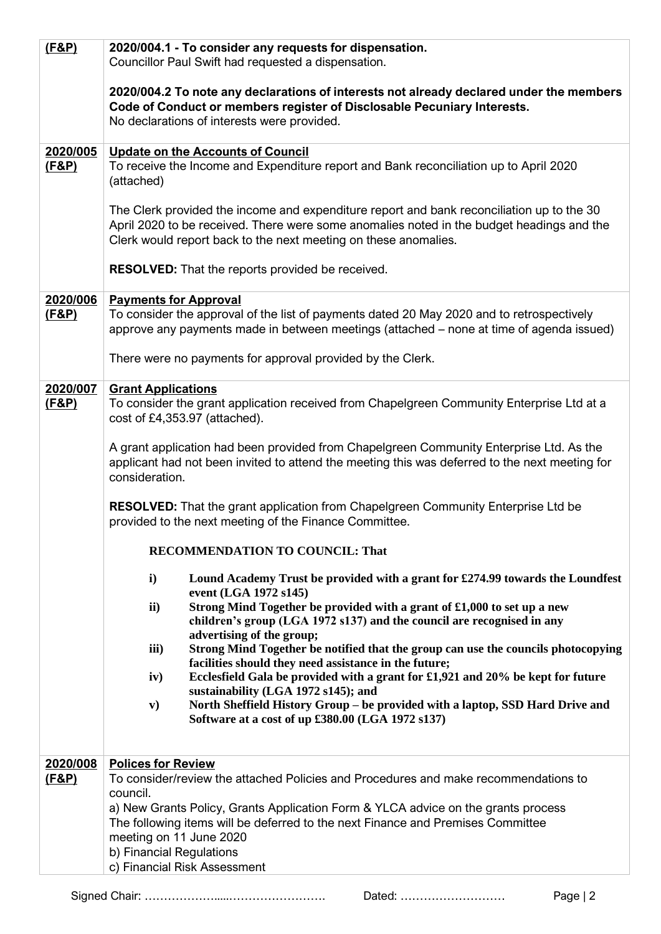| 2020/004.1 - To consider any requests for dispensation.<br>Councillor Paul Swift had requested a dispensation.                                                                                                                                                                                                                                                                                                                                                                                                                                                                                                                                                                                                                                                                                                                                                                                                                                                                                                                                                                                                                                                                                                                                                                                                                          |
|-----------------------------------------------------------------------------------------------------------------------------------------------------------------------------------------------------------------------------------------------------------------------------------------------------------------------------------------------------------------------------------------------------------------------------------------------------------------------------------------------------------------------------------------------------------------------------------------------------------------------------------------------------------------------------------------------------------------------------------------------------------------------------------------------------------------------------------------------------------------------------------------------------------------------------------------------------------------------------------------------------------------------------------------------------------------------------------------------------------------------------------------------------------------------------------------------------------------------------------------------------------------------------------------------------------------------------------------|
| 2020/004.2 To note any declarations of interests not already declared under the members<br>Code of Conduct or members register of Disclosable Pecuniary Interests.<br>No declarations of interests were provided.                                                                                                                                                                                                                                                                                                                                                                                                                                                                                                                                                                                                                                                                                                                                                                                                                                                                                                                                                                                                                                                                                                                       |
| <b>Update on the Accounts of Council</b><br>To receive the Income and Expenditure report and Bank reconciliation up to April 2020<br>(attached)<br>The Clerk provided the income and expenditure report and bank reconciliation up to the 30<br>April 2020 to be received. There were some anomalies noted in the budget headings and the<br>Clerk would report back to the next meeting on these anomalies.<br><b>RESOLVED:</b> That the reports provided be received.                                                                                                                                                                                                                                                                                                                                                                                                                                                                                                                                                                                                                                                                                                                                                                                                                                                                 |
| <b>Payments for Approval</b><br>To consider the approval of the list of payments dated 20 May 2020 and to retrospectively<br>approve any payments made in between meetings (attached – none at time of agenda issued)<br>There were no payments for approval provided by the Clerk.                                                                                                                                                                                                                                                                                                                                                                                                                                                                                                                                                                                                                                                                                                                                                                                                                                                                                                                                                                                                                                                     |
| <b>Grant Applications</b><br>To consider the grant application received from Chapelgreen Community Enterprise Ltd at a<br>cost of £4,353.97 (attached).<br>A grant application had been provided from Chapelgreen Community Enterprise Ltd. As the<br>applicant had not been invited to attend the meeting this was deferred to the next meeting for<br>consideration.<br><b>RESOLVED:</b> That the grant application from Chapelgreen Community Enterprise Ltd be<br>provided to the next meeting of the Finance Committee.<br><b>RECOMMENDATION TO COUNCIL: That</b><br>$\mathbf{i}$<br>Lound Academy Trust be provided with a grant for £274.99 towards the Loundfest<br>event (LGA 1972 s145)<br>Strong Mind Together be provided with a grant of £1,000 to set up a new<br>ii)<br>children's group (LGA 1972 s137) and the council are recognised in any<br>advertising of the group;<br>Strong Mind Together be notified that the group can use the councils photocopying<br>iii)<br>facilities should they need assistance in the future;<br>Ecclesfield Gala be provided with a grant for £1,921 and 20% be kept for future<br>iv)<br>sustainability (LGA 1972 s145); and<br>North Sheffield History Group - be provided with a laptop, SSD Hard Drive and<br>$\mathbf{v})$<br>Software at a cost of up £380.00 (LGA 1972 s137) |
| <b>Polices for Review</b><br>To consider/review the attached Policies and Procedures and make recommendations to<br>council.<br>a) New Grants Policy, Grants Application Form & YLCA advice on the grants process<br>The following items will be deferred to the next Finance and Premises Committee<br>meeting on 11 June 2020<br>b) Financial Regulations<br>c) Financial Risk Assessment                                                                                                                                                                                                                                                                                                                                                                                                                                                                                                                                                                                                                                                                                                                                                                                                                                                                                                                                             |
|                                                                                                                                                                                                                                                                                                                                                                                                                                                                                                                                                                                                                                                                                                                                                                                                                                                                                                                                                                                                                                                                                                                                                                                                                                                                                                                                         |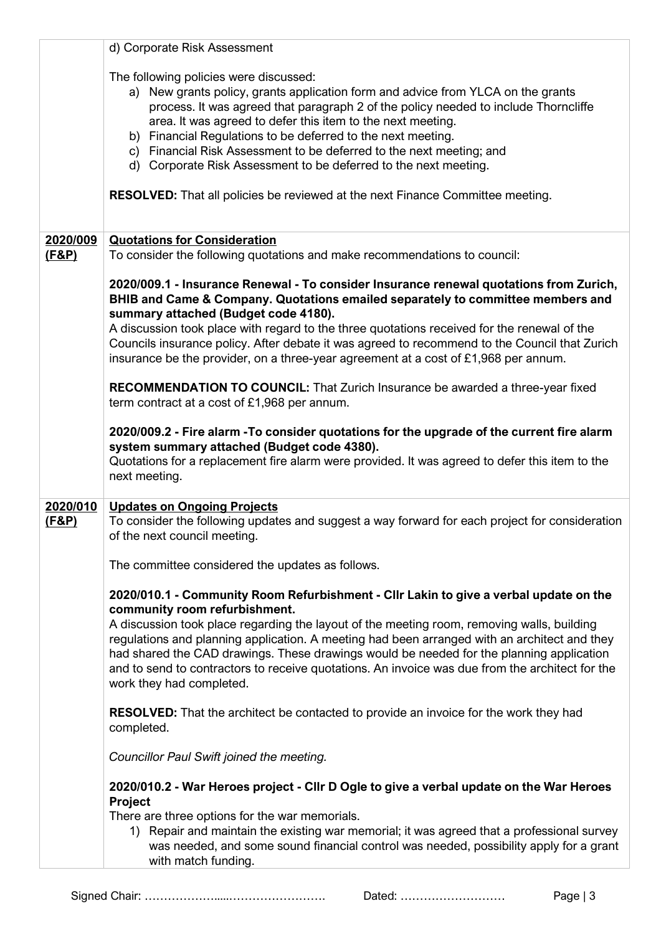|                   | d) Corporate Risk Assessment                                                                                                                                                                                                                                                                                                                                                                                                                                                                                                                                                          |
|-------------------|---------------------------------------------------------------------------------------------------------------------------------------------------------------------------------------------------------------------------------------------------------------------------------------------------------------------------------------------------------------------------------------------------------------------------------------------------------------------------------------------------------------------------------------------------------------------------------------|
|                   | The following policies were discussed:<br>a) New grants policy, grants application form and advice from YLCA on the grants<br>process. It was agreed that paragraph 2 of the policy needed to include Thorncliffe<br>area. It was agreed to defer this item to the next meeting.<br>b) Financial Regulations to be deferred to the next meeting.<br>c) Financial Risk Assessment to be deferred to the next meeting; and<br>d) Corporate Risk Assessment to be deferred to the next meeting.<br><b>RESOLVED:</b> That all policies be reviewed at the next Finance Committee meeting. |
| 2020/009          | <b>Quotations for Consideration</b>                                                                                                                                                                                                                                                                                                                                                                                                                                                                                                                                                   |
| <u>(F&amp;P)</u>  | To consider the following quotations and make recommendations to council:                                                                                                                                                                                                                                                                                                                                                                                                                                                                                                             |
|                   | 2020/009.1 - Insurance Renewal - To consider Insurance renewal quotations from Zurich,<br>BHIB and Came & Company. Quotations emailed separately to committee members and<br>summary attached (Budget code 4180).                                                                                                                                                                                                                                                                                                                                                                     |
|                   | A discussion took place with regard to the three quotations received for the renewal of the<br>Councils insurance policy. After debate it was agreed to recommend to the Council that Zurich<br>insurance be the provider, on a three-year agreement at a cost of £1,968 per annum.                                                                                                                                                                                                                                                                                                   |
|                   | RECOMMENDATION TO COUNCIL: That Zurich Insurance be awarded a three-year fixed<br>term contract at a cost of £1,968 per annum.                                                                                                                                                                                                                                                                                                                                                                                                                                                        |
|                   | 2020/009.2 - Fire alarm - To consider quotations for the upgrade of the current fire alarm<br>system summary attached (Budget code 4380).<br>Quotations for a replacement fire alarm were provided. It was agreed to defer this item to the<br>next meeting.                                                                                                                                                                                                                                                                                                                          |
| 2020/010<br>(F&P) | <b>Updates on Ongoing Projects</b><br>To consider the following updates and suggest a way forward for each project for consideration<br>of the next council meeting.                                                                                                                                                                                                                                                                                                                                                                                                                  |
|                   | The committee considered the updates as follows.                                                                                                                                                                                                                                                                                                                                                                                                                                                                                                                                      |
|                   | 2020/010.1 - Community Room Refurbishment - Cllr Lakin to give a verbal update on the<br>community room refurbishment.<br>A discussion took place regarding the layout of the meeting room, removing walls, building<br>regulations and planning application. A meeting had been arranged with an architect and they<br>had shared the CAD drawings. These drawings would be needed for the planning application                                                                                                                                                                      |
|                   | and to send to contractors to receive quotations. An invoice was due from the architect for the<br>work they had completed.                                                                                                                                                                                                                                                                                                                                                                                                                                                           |
|                   | <b>RESOLVED:</b> That the architect be contacted to provide an invoice for the work they had<br>completed.                                                                                                                                                                                                                                                                                                                                                                                                                                                                            |
|                   | Councillor Paul Swift joined the meeting.                                                                                                                                                                                                                                                                                                                                                                                                                                                                                                                                             |
|                   | 2020/010.2 - War Heroes project - Cllr D Ogle to give a verbal update on the War Heroes<br>Project                                                                                                                                                                                                                                                                                                                                                                                                                                                                                    |
|                   | There are three options for the war memorials.<br>1) Repair and maintain the existing war memorial; it was agreed that a professional survey<br>was needed, and some sound financial control was needed, possibility apply for a grant<br>with match funding.                                                                                                                                                                                                                                                                                                                         |

Signed Chair: ……………….....……………………. Dated: ……………………… Page | 3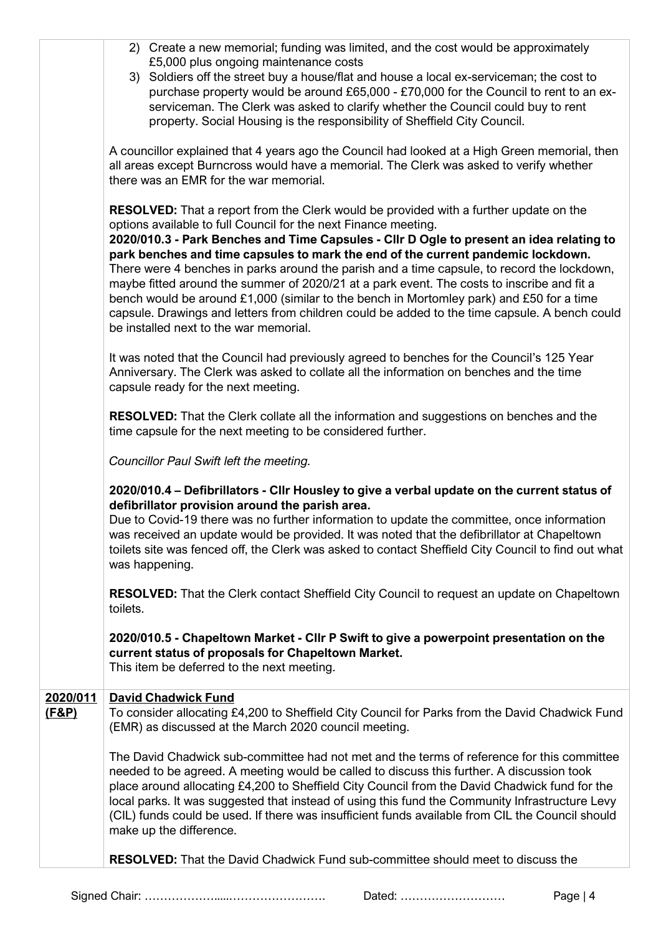|                              | 2) Create a new memorial; funding was limited, and the cost would be approximately<br>£5,000 plus ongoing maintenance costs<br>3) Soldiers off the street buy a house/flat and house a local ex-serviceman; the cost to<br>purchase property would be around £65,000 - £70,000 for the Council to rent to an ex-<br>serviceman. The Clerk was asked to clarify whether the Council could buy to rent<br>property. Social Housing is the responsibility of Sheffield City Council.                                                                                                                                                                                                                                                                                                   |
|------------------------------|-------------------------------------------------------------------------------------------------------------------------------------------------------------------------------------------------------------------------------------------------------------------------------------------------------------------------------------------------------------------------------------------------------------------------------------------------------------------------------------------------------------------------------------------------------------------------------------------------------------------------------------------------------------------------------------------------------------------------------------------------------------------------------------|
|                              | A councillor explained that 4 years ago the Council had looked at a High Green memorial, then<br>all areas except Burncross would have a memorial. The Clerk was asked to verify whether<br>there was an EMR for the war memorial.                                                                                                                                                                                                                                                                                                                                                                                                                                                                                                                                                  |
|                              | <b>RESOLVED:</b> That a report from the Clerk would be provided with a further update on the<br>options available to full Council for the next Finance meeting.<br>2020/010.3 - Park Benches and Time Capsules - Cllr D Ogle to present an idea relating to<br>park benches and time capsules to mark the end of the current pandemic lockdown.<br>There were 4 benches in parks around the parish and a time capsule, to record the lockdown,<br>maybe fitted around the summer of 2020/21 at a park event. The costs to inscribe and fit a<br>bench would be around £1,000 (similar to the bench in Mortomley park) and £50 for a time<br>capsule. Drawings and letters from children could be added to the time capsule. A bench could<br>be installed next to the war memorial. |
|                              | It was noted that the Council had previously agreed to benches for the Council's 125 Year<br>Anniversary. The Clerk was asked to collate all the information on benches and the time<br>capsule ready for the next meeting.                                                                                                                                                                                                                                                                                                                                                                                                                                                                                                                                                         |
|                              | <b>RESOLVED:</b> That the Clerk collate all the information and suggestions on benches and the<br>time capsule for the next meeting to be considered further.                                                                                                                                                                                                                                                                                                                                                                                                                                                                                                                                                                                                                       |
|                              | Councillor Paul Swift left the meeting.                                                                                                                                                                                                                                                                                                                                                                                                                                                                                                                                                                                                                                                                                                                                             |
|                              | 2020/010.4 - Defibrillators - Cllr Housley to give a verbal update on the current status of<br>defibrillator provision around the parish area.<br>Due to Covid-19 there was no further information to update the committee, once information<br>was received an update would be provided. It was noted that the defibrillator at Chapeltown<br>toilets site was fenced off, the Clerk was asked to contact Sheffield City Council to find out what<br>was happening.                                                                                                                                                                                                                                                                                                                |
|                              | <b>RESOLVED:</b> That the Clerk contact Sheffield City Council to request an update on Chapeltown<br>toilets.                                                                                                                                                                                                                                                                                                                                                                                                                                                                                                                                                                                                                                                                       |
|                              | 2020/010.5 - Chapeltown Market - Cllr P Swift to give a powerpoint presentation on the<br>current status of proposals for Chapeltown Market.<br>This item be deferred to the next meeting.                                                                                                                                                                                                                                                                                                                                                                                                                                                                                                                                                                                          |
| 2020/011<br><u>(F&amp;P)</u> | <b>David Chadwick Fund</b><br>To consider allocating £4,200 to Sheffield City Council for Parks from the David Chadwick Fund<br>(EMR) as discussed at the March 2020 council meeting.                                                                                                                                                                                                                                                                                                                                                                                                                                                                                                                                                                                               |
|                              | The David Chadwick sub-committee had not met and the terms of reference for this committee<br>needed to be agreed. A meeting would be called to discuss this further. A discussion took<br>place around allocating £4,200 to Sheffield City Council from the David Chadwick fund for the<br>local parks. It was suggested that instead of using this fund the Community Infrastructure Levy<br>(CIL) funds could be used. If there was insufficient funds available from CIL the Council should<br>make up the difference.                                                                                                                                                                                                                                                          |
|                              | <b>RESOLVED:</b> That the David Chadwick Fund sub-committee should meet to discuss the                                                                                                                                                                                                                                                                                                                                                                                                                                                                                                                                                                                                                                                                                              |